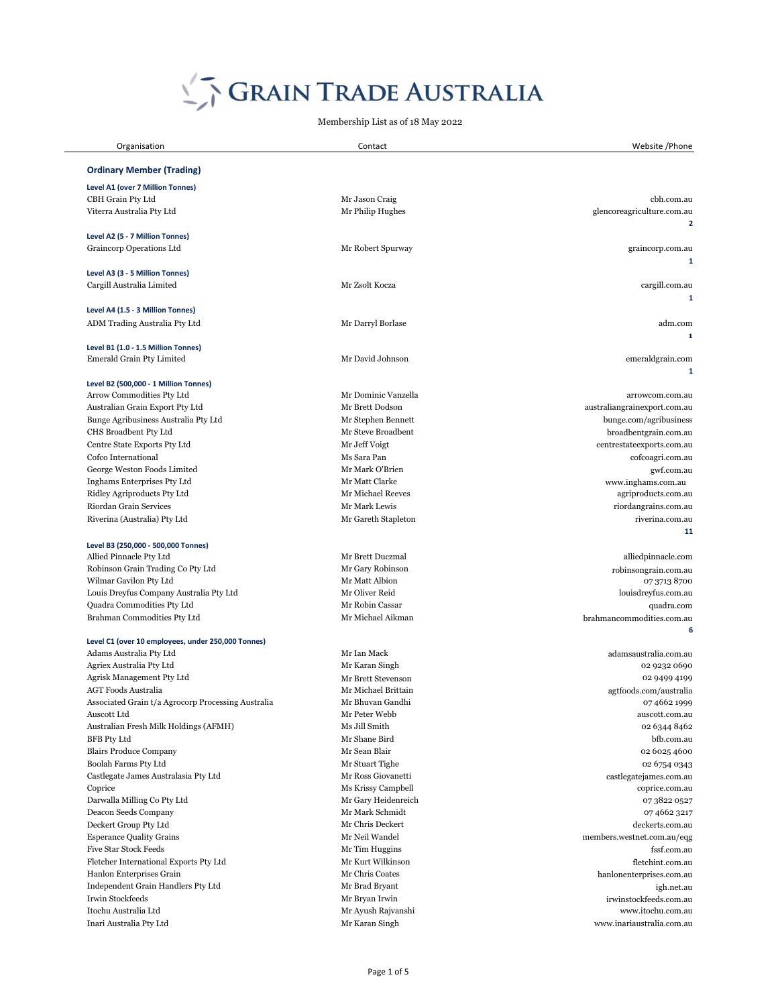| Organisation                                                   | Contact                           | Website / Phone                           |
|----------------------------------------------------------------|-----------------------------------|-------------------------------------------|
| <b>Ordinary Member (Trading)</b>                               |                                   |                                           |
| <b>Level A1 (over 7 Million Tonnes)</b>                        |                                   |                                           |
| CBH Grain Pty Ltd                                              | Mr Jason Craig                    | cbh.com.au                                |
| Viterra Australia Pty Ltd                                      | Mr Philip Hughes                  | glencoreagriculture.com.au                |
|                                                                |                                   | $\mathbf{2}$                              |
| Level A2 (5 - 7 Million Tonnes)                                |                                   |                                           |
| Graincorp Operations Ltd                                       | Mr Robert Spurway                 | graincorp.com.au                          |
|                                                                |                                   | 1                                         |
| Level A3 (3 - 5 Million Tonnes)                                |                                   |                                           |
| Cargill Australia Limited                                      | Mr Zsolt Kocza                    | cargill.com.au                            |
|                                                                |                                   | 1                                         |
| Level A4 (1.5 - 3 Million Tonnes)                              |                                   |                                           |
| ADM Trading Australia Pty Ltd                                  | Mr Darryl Borlase                 | adm.com                                   |
|                                                                |                                   | $\mathbf{1}$                              |
| Level B1 (1.0 - 1.5 Million Tonnes)                            |                                   |                                           |
| <b>Emerald Grain Pty Limited</b>                               | Mr David Johnson                  | emeraldgrain.com                          |
|                                                                |                                   | 1                                         |
| Level B2 (500,000 - 1 Million Tonnes)                          |                                   |                                           |
| Arrow Commodities Pty Ltd                                      | Mr Dominic Vanzella               | arrowcom.com.au                           |
| Australian Grain Export Pty Ltd                                | Mr Brett Dodson                   | australiangrainexport.com.au              |
| Bunge Agribusiness Australia Pty Ltd                           | Mr Stephen Bennett                | bunge.com/agribusiness                    |
| CHS Broadbent Pty Ltd                                          | Mr Steve Broadbent                | broadbentgrain.com.au                     |
| Centre State Exports Pty Ltd                                   | Mr Jeff Voigt                     | centrestateexports.com.au                 |
| Cofco International                                            | Ms Sara Pan                       | cofcoagri.com.au                          |
| George Weston Foods Limited<br>Inghams Enterprises Pty Ltd     | Mr Mark O'Brien<br>Mr Matt Clarke | gwf.com.au                                |
| Ridley Agriproducts Pty Ltd                                    | Mr Michael Reeves                 | www.inghams.com.au<br>agriproducts.com.au |
|                                                                |                                   |                                           |
| Riordan Grain Services                                         | Mr Mark Lewis                     | riordangrains.com.au<br>riverina.com.au   |
| Riverina (Australia) Pty Ltd                                   | Mr Gareth Stapleton               |                                           |
|                                                                |                                   | 11                                        |
| Level B3 (250,000 - 500,000 Tonnes)<br>Allied Pinnacle Pty Ltd | Mr Brett Duczmal                  | alliedpinnacle.com                        |
| Robinson Grain Trading Co Pty Ltd                              | Mr Gary Robinson                  | robinsongrain.com.au                      |
| Wilmar Gavilon Pty Ltd                                         | Mr Matt Albion                    | 07 3713 8700                              |
| Louis Dreyfus Company Australia Pty Ltd                        | Mr Oliver Reid                    | louisdreyfus.com.au                       |
| Quadra Commodities Pty Ltd                                     | Mr Robin Cassar                   | quadra.com                                |
| Brahman Commodities Pty Ltd                                    | Mr Michael Aikman                 | brahmancommodities.com.au                 |
|                                                                |                                   | 6                                         |
| Level C1 (over 10 employees, under 250,000 Tonnes)             |                                   |                                           |
| Adams Australia Pty Ltd                                        | Mr Ian Mack                       | adamsaustralia.com.au                     |
| Agriex Australia Pty Ltd                                       | Mr Karan Singh                    | 02 9232 0690                              |
| Agrisk Management Pty Ltd                                      | Mr Brett Stevenson                | 02 9499 4199                              |
| <b>AGT Foods Australia</b>                                     | Mr Michael Brittain               | agtfoods.com/australia                    |
| Associated Grain t/a Agrocorp Processing Australia             | Mr Bhuvan Gandhi                  | 0746621999                                |
| Auscott Ltd                                                    | Mr Peter Webb                     | auscott.com.au                            |
| Australian Fresh Milk Holdings (AFMH)                          | Ms Jill Smith                     | 02 6344 8462                              |

BFB Pty Ltd bfb.com.au bfb.com.au Mr Shane Bird bfb.com.au bfb.com.au bfb.com.au Blairs Produce Company **19 Blair** 1976 Mr Sean Blair 1976 Mr Sean Blair 1976 1986 02 6025 4600 10 Boolah Farms Pty Ltd **10 CM** COM COMPANY Mr Stuart Tighe 02 6754 0343 Castlegate James Australasia Pty Ltd Mr Ross Giovanetti castlegatejames.com.au Ns Krissy Campbell coprice.com.au Darwalla Milling Co Pty Ltd **Mr Gary Heidenreich** O7 3822 0527 Deacon Seeds Company Mr Mark Schmidt 07 4662 3217 15 Deckert Group Pty Ltd Mr Chris Deckert Mr Chris Deckert deckerts.com.au Esperance Quality Grains Mr Neil Wandel members.westnet.com.au/eqg Five Star Stock Feeds fssf.com.au Mr Tim Huggins fssf.com.au fssf.com.au 19 Fletcher International Exports Pty Ltd Mr Kurt Wilkinson Mr Kurt Wilkinson fletchint.com.au Hanlon Enterprises Grain Mr Chris Coates hanlonenterprises.com.au Independent Grain Handlers Pty Ltd Mr Brad Bryant Mr Brad Bryant igh.net.au igh.net.au Irwin Stockfeeds Mr Bryan Irwin irwinstockfeeds.com.au Itochu Australia Ltd Mr Ayush Rajvanshi www.itochu.com.au Inari Australia Pty Ltd Mr Karan Singh [www.inariaustralia.com.au](http://www.inariaustralia.com.au/)

# SERAIN TRADE AUSTRALIA

Membership List as of 18 May 2022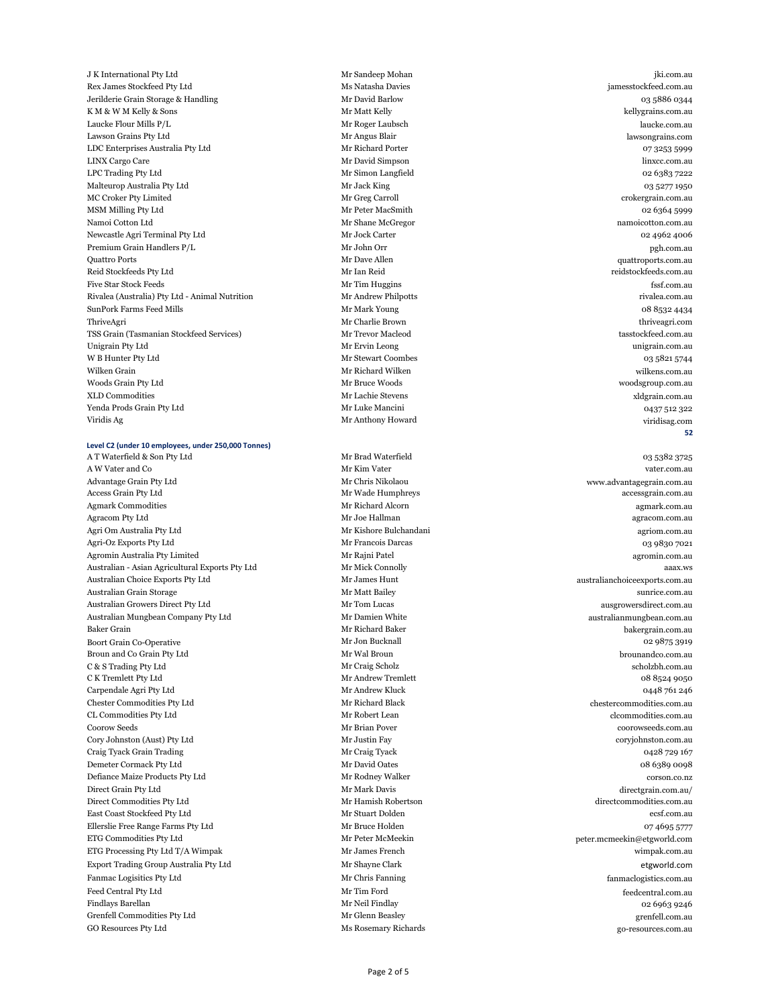J K International Pty Ltd **Exercise 2018** Mr Sandeep Mohan jki.com.au jki.com.au jki.com.au jki.com.au jki.com.au 25 Rex James Stockfeed Pty Ltd Ms Natasha Davies jamesstockfeed.com.au 26 Jerilderie Grain Storage & Handling Mr David Barlow 03 5886 0344 EXEN & W M Kelly & Sons Exercise of the Matt Kelly Mr Matt Kelly and the Matt Kelly compared with the Matt Kelly Laucke Flour Mills P/L laucke.com.au Mr Roger Laubsch laucke.com.au laucke.com.au Lawson Grains Pty Ltd lawsongrains.com Mr Angus Blair lawsongrains.com 130 LDC Enterprises Australia Pty Ltd Mr Richard Porter 67 3253 59999 31 LINX Cargo Care Mr David Simpson linxcc.com.au LPC Trading Pty Ltd 02 6383 7222 Malteurop Australia Pty Ltd **Mr Jack King Community Community** Community Community Community Community Community Community Community Community Community Community Community Community Community Community Community Community Mr Greg Carroll **34 Mr Greg Carroll** Croker Pty Limited crokergrain.com.au 35 MSM Milling Pty Ltd Mr Peter MacSmith 02 6364 5999 36 Namoi Cotton Ltd Mr Shane McGregor namoicotton.com.au Newcastle Agri Terminal Pty Ltd Mr Jock Carter Mr Jock Carter 62 4962 4006 Premium Grain Handlers P/L **Mr John Orr** pgh.com.au pgh.com.au pgh.com.au  $\Delta$  39 Quattro Ports and the Second Mr Dave Allen  $\Delta$  and  $\Delta$  and  $\Delta$  are Allen quattroports.com.au quattroports.com.au quattroports.com.au quattroports.com.au quattroports.com.au quattroports.com.au quattroports.com.a Reid Stockfeeds Pty Ltd **And Stockfeeds Pty Ltd** Mr Ian Reid Reid reidstockfeeds.com.au reidstockfeeds.com.au reidstockfeeds.com.au reidstockfeeds.com.au reidstockfeeds.com.au reidstockfeeds.com.au reidstockfeeds.com.au re Five Star Stock Feeds **Example 2018** Star Stock Feeds and Star Stock Feeds and Star Stock Feeds and Star Stock Feeds and Star Stock Feeds and Star Stock Feeds and Star Stock Feeds and Star Stock Feeds and Star Stock Feeds Azivalea (Australia) Pty Ltd - Animal Nutrition Mr Andrew Philpotts rivalea.com.au rivalea.com.au rivalea.com.au SunPork Farms Feed Mills 2008 8532 4434 Nr Mark Young 2008 8612 12:00 12:00 12:00 12:00 12:00 12:00 12:00 12:00 44 ThriveAgri Mr Charlie Brown thriveagri.com TSS Grain (Tasmanian Stockfeed Services) **Mr Trevor Macleod** tasstockfeed.com.au tasstockfeed.com.au tasstockfeed.com.au 46 Unigrain Pty Ltd Mr Ervin Leong unigrain.com.au W B Hunter Pty Ltd 03 5821 5744 48 Wilken Grain Mr Richard Wilken wilkens.com.au Woods Grain Pty Ltd **Agents** 2013 Mr Bruce Woods Mr Bruce Woods woodsgroup.com.au 50 XLD Commodities Mr Lachie Stevens xldgrain.com.au Tenda Prods Grain Pty Ltd and Mr Luke Mancini and Mr Luke Mancini and Mr Luke Mancini control of the Mancini control of the Mancini control of the Mancini control of the Mancini control of the Mancini control of the Mancin 52 Viridis Ag Mr Anthony Howard viridisag.com

**52**

#### **Level C2 (under 10 employees, under 250,000 Tonnes)**

A T Waterfield & Son Pty Ltd and Mr Brad Waterfield and Mr Brad Waterfield 03 5382 3725 A W Vater and Co water.com.au Mr Kim Vater vater.com.au Mr Kim Vater vater.com.au vater.com.au Advantage Grain Pty Ltd **Advantagegrain.com.au** Mr Chris Nikolaou Mr Chris Nikolaou www.advantagegrain.com.au Access Grain Pty Ltd **Access Grain Pty Ltd** accessgrain.com.au Mr Wade Humphreys **Access Grain Pty Ltd** accessgrain.com.au Agmark Commodities and the subset of the Mr Richard Alcorn and Mr Richard Alcorn agmark.com.au 6 Agracom Pty Ltd Mr Joe Hallman agracom.com.au Agri Om Australia Pty Ltd agriom.com.au Mr Kishore Bulchandani agriom.com.au agriom.com.au Agri-Oz Exports Pty Ltd 63 9830 7021 Agromin Australia Pty Limited **Agromin.com.au** Mr Rajni Patel agromin.com.au agromin.com.au Australian - Asian Agricultural Exports Pty Ltd Mr Mick Connolly and Mr Mick Connolly and Mr Mick Connolly and Mr Mick Connolly and Mr Mick Connolly and Mr Mick Connolly and Mr Mick Connolly and Mr Mick Connolly and Mr Mic Australian Choice Exports Pty Ltd Mr James Hunt australianchoiceexports.com.au 12 Australian Grain Storage Mr Matt Bailey sunrice.com.au Australian Growers Direct Pty Ltd Mr Tom Lucas ausgrowersdirect.com.au Australian Mungbean Company Pty Ltd **Mr Damien White** Australianmungbean.com.au australianmungbean.com.au 15 Baker Grain Mr Richard Baker bakergrain.com.au 16 Boort Grain Co-Operative 29875 3919 Mr Jon Bucknall 202 9875 3919 Broun and Co Grain Pty Ltd **17 Bround 20 Bround and Co Grain Pty Ltd** Mr Wal Broun brounandco.com.au 18 C & S Trading Pty Ltd scholzbh.com.au Mr Craig Scholz scholzbh.com.au scholzbh.com.au 19 C K Tremlett Pty Ltd **19 C K Tremlett** 19 C K Tremlett 19 C K Tremlett 19 C K Tremlett 19 C A 8524 9050 Expendale Agri Pty Ltd and Mr Andrew Kluck Mr Andrew Kluck 1992 and 2004 12:346 761 246 21 Chester Commodities Pty Ltd Mr Richard Black chestercommodities.com.au 22 CL Commodities Pty Ltd Mr Robert Lean clcommodities.com.au 23 Coorow Seeds Mr Brian Pover coorowseeds.com.au 24 Cory Johnston (Aust) Pty Ltd Mr Justin Fay coryjohnston.com.au 25 Craig Tyack Grain Trading and Trading Mr Craig Tyack Mr Craig Tyack 6428 729 167 26 Demeter Cormack Pty Ltd Mr David Oates 6389 0098 Mr David Oates 68 6389 0098 27 Defiance Maize Products Pty Ltd Mr Rodney Walker corson.co.nz Direct Grain Pty Ltd **28 Direct Grain Pty Ltd** Mr Mark Davis **Mr Mark Davis** directgrain.com.au/ 29 Direct Commodities Pty Ltd Mr Hamish Robertson Mr Hamish Robertson directcommodities.com.au 30 East Coast Stockfeed Pty Ltd Mr Stuart Dolden ecsf.com.au 31 Ellerslie Free Range Farms Pty Ltd Mr Bruce Holden 07 4695 5777 32 ETG Commodities Pty Ltd Mr Peter McMeekin peter.mcmeekin@etgworld.com ETG Processing Pty Ltd T/A Wimpak  $Mr$  James French wimpak.com.au Export Trading Group Australia Pty Ltd Mr Shayne Clark etgworld.com 35 Fanmac Logisitics Pty Ltd **State Act and Mr Chris Fanning** fanmaclogistics.com.au 36 Feed Central Pty Ltd Mr Tim Ford feedcentral.com.au 37 Findlays Barellan Mr Neil Findlay 02 6963 9246 Single Commodities Pty Ltd Mr Glenn Beasley Mr Glenn Beasley grenfell.com.au 39 GO Resources Pty Ltd Ms Rosemary Richards Ms Rosemary Richards go-resources.com.au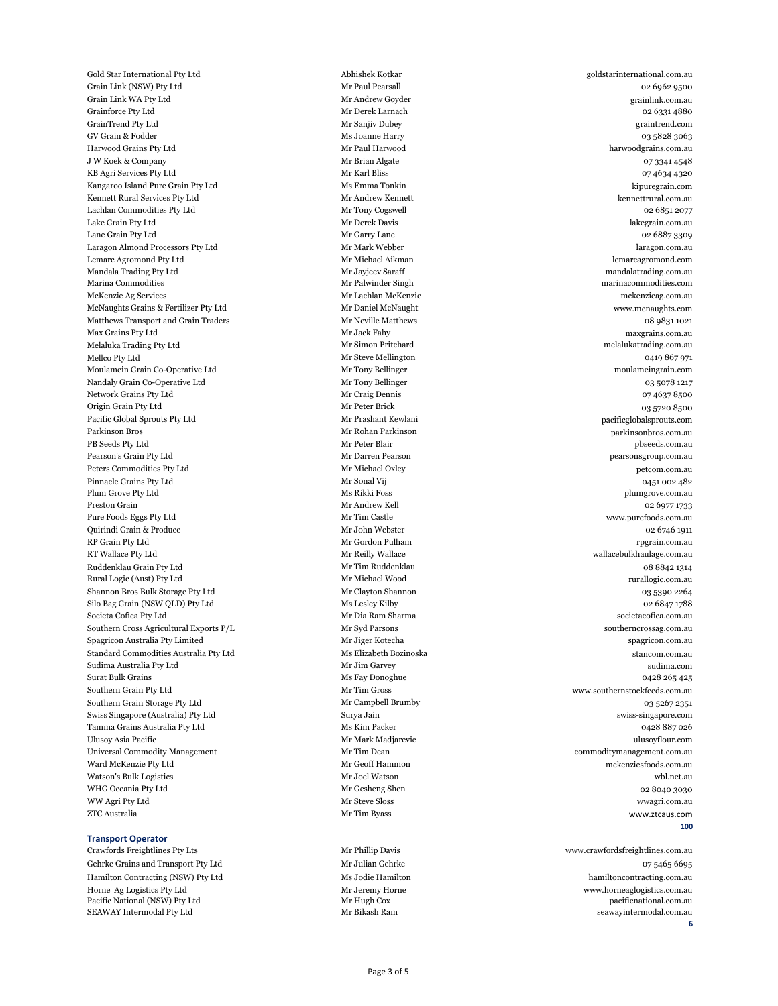Universal Commodity Management **1956** Mr Tim Dean commoditymanagement.com.au Ward McKenzie Pty Ltd **Mr Geoff Hammon** Mr Geoff Hammon mckenziesfoods.com.au Watson's Bulk Logistics wbl.net.au Mr Joel Watson wbl.net.au wbl.net.au wbl.net.au WHG Oceania Pty Ltd **1986 Contract Contract Contract Contract Contract Contract Contract Contract Contract Contract Contract Contract Contract Contract Contract Contract Contract Contract Contract Contract Contract Contrac** 99 WW Agri Pty Ltd Mr Steve Sloss wwagri.com.au

40 Gold Star International Pty Ltd Abhishek Kotkar goldstarinternational.com.au 41 Grain Link (NSW) Pty Ltd 02 6962 9500 Grain Link WA Pty Ltd **Andrew Goyder** Mr Andrew Goyder **Andrew Goyder** grainlink.com.au 43 Grainforce Pty Ltd Mr Derek Larnach 02 6331 4880 44 GrainTrend Pty Ltd Mr Sanjiv Dubey graintrend.com 45 GV Grain & Fodder Ms Joanne Harry 03 5828 3063 Harwood Grains Pty Ltd **Accord Mr Paul Harwood** Mr Paul Harwood harwoodgrains.com.au J W Koek & Company 07 3341 4548 KB Agri Services Pty Ltd 07 4634 4320 Kangaroo Island Pure Grain Pty Ltd Ms Emma Tonkin Ms Emma Tonkin kipuregrain.com Kennett Rural Services Pty Ltd **Mr Andrew Kennett** Mr Andrew Kennett kennettrural.com.au Example 1 Lachlan Commodities Pty Ltd Mr Tony Cogswell and Mr Tony Cogswell control of the Mr Tony Cogswell control of the Mr Tony Cogswell control of the Mr Tony Cogswell control of the Mr Tony Cogswell control of the Mr 52 Lake Grain Pty Ltd Mr Derek Davis lakegrain.com.au 53 Lane Grain Pty Ltd Mr Garry Lane 02 6887 3309 Example of the determinist of the Mr Mark Webber determinist of the determinist of the determinist of the determinist of the determinist of the determinist of the determinist of the determinist of the determinist of the de 55 Lemarc Agromond Pty Ltd Mr Michael Aikman lemarcagromond.com Mandala Trading Pty Ltd **Mr Jayjeev Saraff** Mandalatrading Mr Jayjeev Saraff mandalatrading.com.au 57 Marina Commodities Mr Palwinder Singh marinacommodities.com 58 McKenzie Ag Services Mr Lachlan McKenzie mckenzieag.com.au McNaughts Grains & Fertilizer Pty Ltd Mr Daniel McNaught McNaught www.mcnaughts.com Matthews Transport and Grain Traders Mr Neville Matthews Mr Neville Matthews 08 9831 1021 Max Grains Pty Ltd maxgrains.com.au Mr Jack Fahy Mr Jack Fahy maxgrains.com.au Mr Simon Pritchard Mr Simon Pritchard melalukatrading.com.au melalukatrading.com.au Mr Steve Mellington and Mr Steve Mellington and Mr Steve Mellington and Mr Steve Mellington and Mr Steve Mellington Moulamein Grain Co-Operative Ltd Mr Tony Bellinger Mr Tony Bellinger moulameingrain.com Nandaly Grain Co-Operative Ltd Mr Tony Bellinger and Mr Tony Bellinger and Mr Tony Bellinger and Mr Tony Bellinger Network Grains Pty Ltd **Mr Craig Dennis** Mr Craig Dennis **COLL ASSESS** 07 4637 8500 Origin Grain Pty Ltd and Mr Peter Brick and Mr Peter Brick and Mr Peter Brick of the United States of the United States of the United States of the United States of the United States of the United States of the United Stat Pacific Global Sprouts Pty Ltd Mr Prashant Kewlani pacific Global Sprouts.com 69 Parkinson Bros Mr Rohan Parkinson parkinsonbros.com.au PB Seeds Pty Ltd Mr Peter Blair pbseeds.com.au Pearson's Grain Pty Ltd **Mr Darren Pearson** Mr Darren Pearson pearsonsgroup.com.au 72 Peters Commodities Pty Ltd Mr Michael Oxley petcom.com.au Pinnacle Grains Pty Ltd 0451 002 482 74 Plum Grove Pty Ltd Ms Rikki Foss plumgrove.com.au 75 Preston Grain Mr Andrew Kell 02 6977 1733 Pure Foods Eggs Pty Ltd **Archarge Mr Tim Castle** Mr Tim Castle www.purefoods.com.au 77 Quirindi Grain & Produce Mr John Webster 02 6746 1911 78 RP Grain Pty Ltd Mr Gordon Pulham rpgrain.com.au 79 RT Wallace Pty Ltd Mr Reilly Wallace wallacebulkhaulage.com.au 80 Ruddenklau Grain Pty Ltd Mr Tim Ruddenklau 08 8842 1314 Rural Logic (Aust) Pty Ltd Mr Michael Wood rurallogic.com.au rurallogic.com.au 82 Shannon Bros Bulk Storage Pty Ltd Mr Clayton Shannon Mr Clayton Shannon 63 5390 2264 83 Silo Bag Grain (NSW QLD) Pty Ltd Ms Lesley Kilby Ms Lesley Kilby 02 6847 1788 84 Societa Cofica Pty Ltd Mr Dia Ram Sharma societacofica.com.au Southern Cross Agricultural Exports P/L Mr Syd Parsons Manuson Controller and Southern Cross Agricultural Exports P/L 86 Spagricon Australia Pty Limited Mr Jiger Kotecha Spagricon.com.au Spagricon.com.au Spagricon.com.au Spagricon.com.au 87 Standard Commodities Australia Pty Ltd Ms Elizabeth Bozinoska stancom.com.au stancom.com.au stancom.com.au 88 Sudima Australia Pty Ltd Sudima.com (Sudima Australia Pty Ltd Sudima.com ) sudima.com (Sudima.com ) sudima.com 89 Surat Bulk Grains Ms Fay Donoghue 0428 265 425 Southern Grain Pty Ltd Mr Tim Gross Mr Tim Gross www.southernstockfeeds.com.au Southern Grain Storage Pty Ltd Mr Campbell Brumby 03 5267 2351 Swiss Singapore (Australia) Pty Ltd Surya Jain Surya Jain swiss-singapore.com swiss-singapore.com Tamma Grains Australia Pty Ltd Ms Kim Packer 6428 887 026

94 Ulusoy Asia Pacific Mr Mark Madjarevic ulusoyflour.com 100 ZTC Australia Mr Tim Byass www.ztcaus.com

#### **100**

#### **Transport Operator**

Crawfords Freightlines Pty Lts Mr Phillip Davis Mr Phillip Davis [www.crawfordsfreightlines.com.au](http://www.crawfordsfreightlines.com.au/) 2 Gehrke Grains and Transport Pty Ltd Mr Julian Gehrke 675465 6695 3 Hamilton Contracting (NSW) Pty Ltd Ms Jodie Hamilton Ms Jodie Hamilton hamiltoncontracting.com.au Horne Ag Logistics Pty Ltd Mr Jeremy Horne Mr Jeremy Horne www.horneaglogistics.com.au Facific National (NSW) Pty Ltd Mr Hugh Cox pacific National.com.au pacific National.com.au pacific National.com.au SEAWAY Intermodal Pty Ltd **SEAWAY Intermodal.com.au** Mr Bikash Ram seawayintermodal.com.au

**6**

Page 3 of 5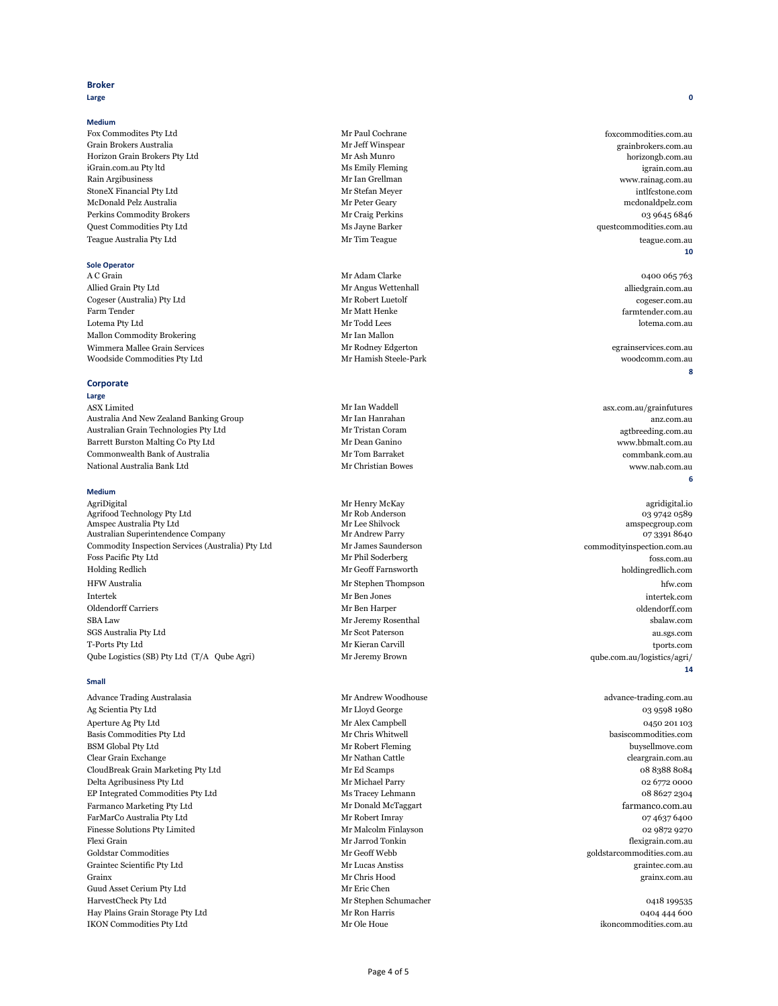# **Broker**

**Large 0**

### **Medium**

1 A C Grain Mr Adam Clarke 0400 065 763 Allied Grain Pty Ltd alliedgrain.com.au Mr Angus Wettenhall alliedgrain.com.au alliedgrain.com.au 3 Cogeser (Australia) Pty Ltd Mr Robert Luetolf [cogeser.com.au](http://www.cogeser.com.au/) 4 Farm Tender farmtender.com.au Mr Matt Henke farmtender.com.au matt Henke farmtender.com.au matt Henke farmtender.com.au matt Henke farmtender.com.au matt Henke farmtender.com.au matt Henke farmtender.com.au matt Henke fa 5 Lotema Pty Ltd Mr Todd Lees lotema.com.au Mallon Commodity Brokering Mr Ian Mallon 7 Wimmera Mallee Grain Services Mr Rodney Edgerton egrainservices.com.au Woodside Commodities Pty Ltd Mr Hamish Steele-Park woodcomm.com.au woodcomm.com.au

1 Fox Commodites Pty Ltd Mr Paul Cochrane foxcommodities.com.au 2 Grain Brokers Australia Mr Jeff Winspear grainbrokers.com.au 3 Horizon Grain Brokers Pty Ltd Mr Ash Munro horizongb.com.au horizongb.com.au iGrain.com.au Pty ltd igrain.com.au Pty ltd igrain.com.au 5 Rain Argibusiness Mr Ian Grellman [www.rainag.com.au](http://www.rainag.com.au/) StoneX Financial Pty Ltd Mr Stefan Meyer intlfcstone.com 7 McDonald Pelz Australia Mr Peter Geary mcdonaldpelz.com Perkins Commodity Brokers and the commodity Brokers and the commodity Brokers and the commodity Brokers and the commodity Brokers and the commodity Brokers and the commodity Brokers and the commodity Brokers and the commod Quest Commodities Pty Ltd Ms Jayne Barker Ms Jayne Barker questcommodities.com.au 10 Teague Australia Pty Ltd Mr Tim Teague teague.com.au

**10**

# **Sole Operator**

1 ASX Limited asx.com.au/grainfutures Australia And New Zealand Banking Group Mr Ian Hanrahan Mr Ian Hanrahan anz.com.au Australian Grain Technologies Pty Ltd **Mr Tristan Coram Australian Grain Technologies Pty Ltd** agtbreeding.com.au Barrett Burston Malting Co Pty Ltd Mr Dean Ganino Mr Dean Ganino www.bbmalt.com.au Examples of Australia Commbank.com.au Mr Tom Barraket commbank.com.au commbank.com.au 6 National Australia Bank Ltd Mr Christian Bowes www.nab.com.au

1 AgriDigital Mr Henry McKay agridigital.io Agrifood Technology Pty Ltd and Mr Rob Anderson and Mr Rob Anderson and Mr Rob Anderson and Mr Rob Anderson and Mr Rob Anderson and Mr Rob Anderson and Mr Rob Anderson and Mr Rob Anderson and Mr Rob Anderson and Mr Rob And Amspec Australia Pty Ltd **3.2 Amspec Australia Pty Ltd** Mr Lee Shilvock **amspected amspected** amspective amspected amspected amspected amspected amspected amspected amspected amspected amspected amspected amspected amspect Australian Superintendence Company **Mr Andrew Parry 1996** Mr Andrew Parry 1996 1997 3391 8640 Commodity Inspection Services (Australia) Pty Ltd Mr James Saunderson commodityinspection.com.au Foss Pacific Pty Ltd foss.com.au Mr Phil Soderberg foss.com.au foss.com.au 7 Holding Redlich Mr Geoff Farnsworth holdingredlich.com 8 HFW Australia Mr Stephen Thompson hfw.com 9 Intertek Mr Ben Jones intertek.com 10 Oldendorff Carriers Mr Ben Harper oldendorff.com 11 SBA Law Mr Jeremy Rosenthal sbalaw.com 12 SGS Australia Pty Ltd Mr Scot Paterson au.sgs.com 13 T-Ports Pty Ltd Mr Kieran Carvill tports.com Qube Logistics (SB) Pty Ltd (T/A Qube Agri) Mr Jeremy Brown qube.com.au/logistics/agri/

**8**

# **Corporate**

### **Large**

Advance Trading Australasia and a member of the Mr Andrew Woodhouse and a strating com.au advance-trading.com.au Ag Scientia Pty Ltd and Mr Lloyd George and Mr Lloyd George and Mr Lloyd George and Mr Lloyd George and Mr Lloyd George and Mr Lloyd George and Mr Lloyd George and Mr Lloyd George and Mr Lloyd George and Mr Lloyd George an 3 Aperture Ag Pty Ltd 0450 201 103<br>Basis Commodities Pty Ltd Mr Chris Whitwell basis Commodities Commodities Com 4 Basis Commodities Pty Ltd Mr Chris Whitwell basiscommodities.com

### **6**

# **Medium**

**14**

17 Guud Asset Cerium Pty Ltd Mr Eric Chen

BSM Global Pty Ltd buysellmove.com Clear Grain Exchange **Exchange** Mr Nathan Cattle **Cleargrain.com.au** CloudBreak Grain Marketing Pty Ltd Mr Ed Scamps 68 8388 8084 8 Delta Agribusiness Pty Ltd Mr Michael Parry 02 6772 0000 EP Integrated Commodities Pty Ltd Ms Tracey Lehmann 08 8627 2304 Farmanco Marketing Pty Ltd Mr Donald McTaggart farmanco.com.au farmanco.com.au 11 FarMarCo Australia Pty Ltd 67 4637 6400 12 Finesse Solutions Pty Limited Mr Malcolm Finlayson and Mr Malcolm Finlayson by Day 9872 9270 13 Flexi Grain Mr Jarrod Tonkin flexigrain.com.au 14 Goldstar Commodities Mr Geoff Webb goldstarcommodities.com.au 15 Graintec Scientific Pty Ltd Mr Lucas Anstiss graintec.com.au 16 Grainx Mr Chris Hood grainx.com.au HarvestCheck Pty Ltd **199535** Mr Stephen Schumacher **18 Access 1996** 199535 Hay Plains Grain Storage Pty Ltd Mr Ron Harris 0404 444 600 IKON Commodities Pty Ltd Mr Ole Houe Mr Ole Houe ikoncommodities.com.au in its interval in the set of the Mr Ole Houe in the Mr Ole Houe ikoncommodities.com.au

# **Small**